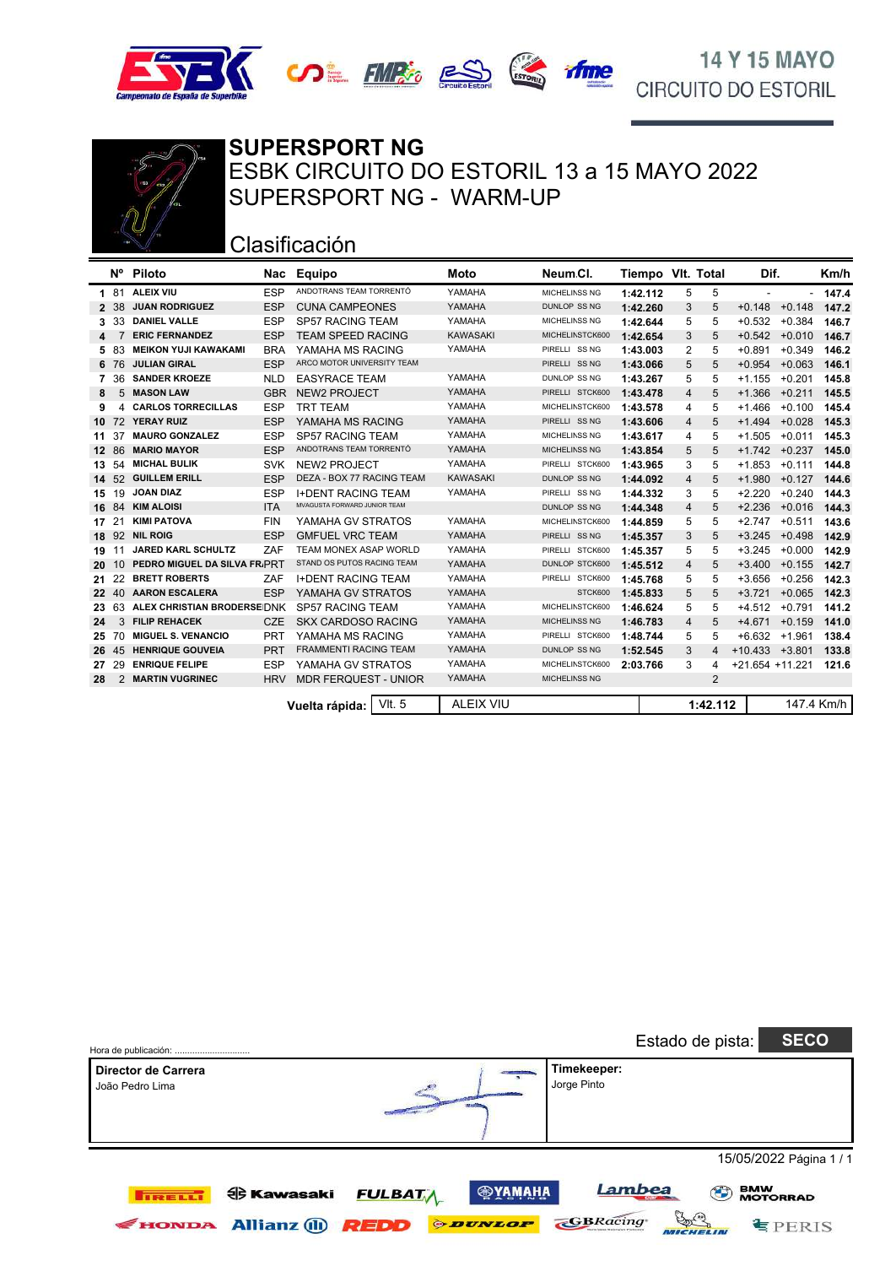





### **SUPERSPORT NG** ESBK CIRCUITO DO ESTORIL 13 a 15 MAYO 2022 SUPERSPORT NG - WARM-UP

# Clasificación

|         | N°  | <b>Piloto</b>                | Nac        | Equipo                       | Moto             | Neum Cl.             | Tiempo VIt. Total |   |                |                          | Dif.     |            |
|---------|-----|------------------------------|------------|------------------------------|------------------|----------------------|-------------------|---|----------------|--------------------------|----------|------------|
| 1.      | -81 | ALEIX VIU                    | <b>ESP</b> | ANDOTRANS TEAM TORRENTÓ      | YAMAHA           | MICHELINSS NG        | 1:42.112          | 5 | 5              | $\overline{\phantom{a}}$ | $\sim$   | 147.4      |
| 2       | -38 | <b>JUAN RODRIGUEZ</b>        | <b>ESP</b> | <b>CUNA CAMPEONES</b>        | YAMAHA           | <b>DUNLOP SS NG</b>  | 1:42.260          | 3 | 5              | $+0.148$                 | $+0.148$ | 147.2      |
| 3.      | 33  | <b>DANIEL VALLE</b>          | <b>ESP</b> | <b>SP57 RACING TEAM</b>      | YAMAHA           | MICHELINSS NG        | 1:42.644          | 5 | 5              | $+0.532$                 | $+0.384$ | 146.7      |
| 4       |     | <b>ERIC FERNANDEZ</b>        | <b>ESP</b> | <b>TEAM SPEED RACING</b>     | <b>KAWASAKI</b>  | MICHELINSTCK600      | 1:42.654          | 3 | 5              | $+0.542$                 | $+0.010$ | 146.7      |
| 5       | 83  | <b>MEIKON YUJI KAWAKAMI</b>  | <b>BRA</b> | YAMAHA MS RACING             | YAMAHA           | PIRELLI SS NG        | 1:43.003          | 2 | 5              | $+0.891$                 | $+0.349$ | 146.2      |
| 6       | 76  | <b>JULIAN GIRAL</b>          | <b>ESP</b> | ARCO MOTOR UNIVERSITY TEAM   |                  | PIRELLI SS NG        | 1:43.066          | 5 | 5              | $+0.954$                 | $+0.063$ | 146.1      |
| 7       | 36  | <b>SANDER KROEZE</b>         | <b>NLD</b> | <b>EASYRACE TEAM</b>         | YAMAHA           | DUNLOP SS NG         | 1:43.267          | 5 | 5              | $+1.155$                 | $+0.201$ | 145.8      |
| 8       | 5   | <b>MASON LAW</b>             | <b>GBR</b> | <b>NEW2 PROJECT</b>          | YAMAHA           | PIRELLI STCK600      | 1:43.478          | 4 | 5              | $+1.366$                 | $+0.211$ | 145.5      |
| 9       |     | <b>CARLOS TORRECILLAS</b>    | <b>ESP</b> | <b>TRT TEAM</b>              | YAMAHA           | MICHELINSTCK600      | 1:43.578          | 4 | 5              | $+1.466$                 | $+0.100$ | 145.4      |
| 10      | 72  | <b>YERAY RUIZ</b>            | <b>ESP</b> | YAMAHA MS RACING             | YAMAHA           | PIRELLI SS NG        | 1:43.606          | 4 | 5              | $+1.494$                 | $+0.028$ | 145.3      |
| 11      | 37  | <b>MAURO GONZALEZ</b>        | <b>ESP</b> | <b>SP57 RACING TEAM</b>      | YAMAHA           | MICHELINSS NG        | 1:43.617          | 4 | 5              | $+1.505$                 | $+0.011$ | 145.3      |
| $12 \,$ | 86  | <b>MARIO MAYOR</b>           | <b>ESP</b> | ANDOTRANS TEAM TORRENTÓ      | YAMAHA           | <b>MICHELINSS NG</b> | 1:43.854          | 5 | 5              | $+1.742$                 | $+0.237$ | 145.0      |
| 13      | 54  | <b>MICHAL BULIK</b>          | <b>SVK</b> | <b>NEW2 PROJECT</b>          | YAMAHA           | PIRELLI STCK600      | 1:43.965          | 3 | 5              | $+1.853$                 | $+0.111$ | 144.8      |
| 14      | 52  | <b>GUILLEM ERILL</b>         | <b>ESP</b> | DEZA - BOX 77 RACING TEAM    | <b>KAWASAKI</b>  | <b>DUNLOP SS NG</b>  | 1:44.092          | 4 | 5              | $+1.980$                 | $+0.127$ | 144.6      |
| 15      | 19  | <b>JOAN DIAZ</b>             | <b>ESP</b> | <b>I+DENT RACING TEAM</b>    | YAMAHA           | PIRELLI SS NG        | 1:44.332          | 3 | 5              | $+2.220$                 | $+0.240$ | 144.3      |
| 16      | 84  | <b>KIM ALOISI</b>            | <b>ITA</b> | MVAGUSTA FORWARD JUNIOR TEAM |                  | DUNLOP SS NG         | 1:44.348          | 4 | 5              | $+2.236$                 | $+0.016$ | 144.3      |
| 17      | 21  | <b>KIMI PATOVA</b>           | <b>FIN</b> | YAMAHA GV STRATOS            | YAMAHA           | MICHELINSTCK600      | 1:44.859          | 5 | 5              | $+2.747$                 | $+0.511$ | 143.6      |
| 18      | 92  | <b>NIL ROIG</b>              | <b>ESP</b> | <b>GMFUEL VRC TEAM</b>       | YAMAHA           | PIRELLI SS NG        | 1:45.357          | 3 | 5              | $+3.245$                 | $+0.498$ | 142.9      |
| 19      | 11  | <b>JARED KARL SCHULTZ</b>    | ZAF        | TEAM MONEX ASAP WORLD        | YAMAHA           | PIRELLI STCK600      | 1:45.357          | 5 | 5              | $+3.245$                 | $+0.000$ | 142.9      |
| 20      | 10  | PEDRO MIGUEL DA SILVA FR.PRT |            | STAND OS PUTOS RACING TEAM   | YAMAHA           | DUNLOP STCK600       | 1:45.512          | 4 | 5              | $+3.400$                 | $+0.155$ | 142.7      |
| 21      | 22  | <b>BRETT ROBERTS</b>         | ZAF        | <b>I+DENT RACING TEAM</b>    | YAMAHA           | PIRELLI STCK600      | 1:45.768          | 5 | 5              | $+3.656$                 | $+0.256$ | 142.3      |
| 22      | 40  | <b>AARON ESCALERA</b>        | <b>ESP</b> | YAMAHA GV STRATOS            | YAMAHA           | STCK600              | 1:45.833          | 5 | 5              | $+3.721$                 | $+0.065$ | 142.3      |
| 23      | 63  | ALEX CHRISTIAN BRODERSE DNK  |            | <b>SP57 RACING TEAM</b>      | YAMAHA           | MICHELINSTCK600      | 1:46.624          | 5 | 5              | $+4.512$                 | $+0.791$ | 141.2      |
| 24      | 3   | <b>FILIP REHACEK</b>         | <b>CZE</b> | <b>SKX CARDOSO RACING</b>    | YAMAHA           | MICHELINSS NG        | 1:46.783          | 4 | 5              | $+4.671$                 | $+0.159$ | 141.0      |
| 25      | 70  | <b>MIGUEL S. VENANCIO</b>    | <b>PRT</b> | YAMAHA MS RACING             | YAMAHA           | PIRELLI STCK600      | 1:48.744          | 5 | 5              | $+6.632$                 | $+1.961$ | 138.4      |
| 26      | 45  | <b>HENRIQUE GOUVEIA</b>      | <b>PRT</b> | <b>FRAMMENTI RACING TEAM</b> | YAMAHA           | <b>DUNLOP SS NG</b>  | 1:52.545          | 3 | 4              | $+10.433 +3.801$         |          | 133.8      |
| 27      | 29  | <b>ENRIQUE FELIPE</b>        | <b>ESP</b> | YAMAHA GV STRATOS            | YAMAHA           | MICHELINSTCK600      | 2:03.766          | 3 | 4              | $+21.654 +11.221$        |          | 121.6      |
| 28      | 2   | <b>MARTIN VUGRINEC</b>       | <b>HRV</b> | <b>MDR FERQUEST - UNIOR</b>  | YAMAHA           | <b>MICHELINSS NG</b> |                   |   | $\overline{2}$ |                          |          |            |
|         |     |                              |            | VIt. 5<br>Vuelta rápida: I   | <b>ALEIX VIU</b> |                      |                   |   | 1:42.112       |                          |          | 147.4 Km/h |

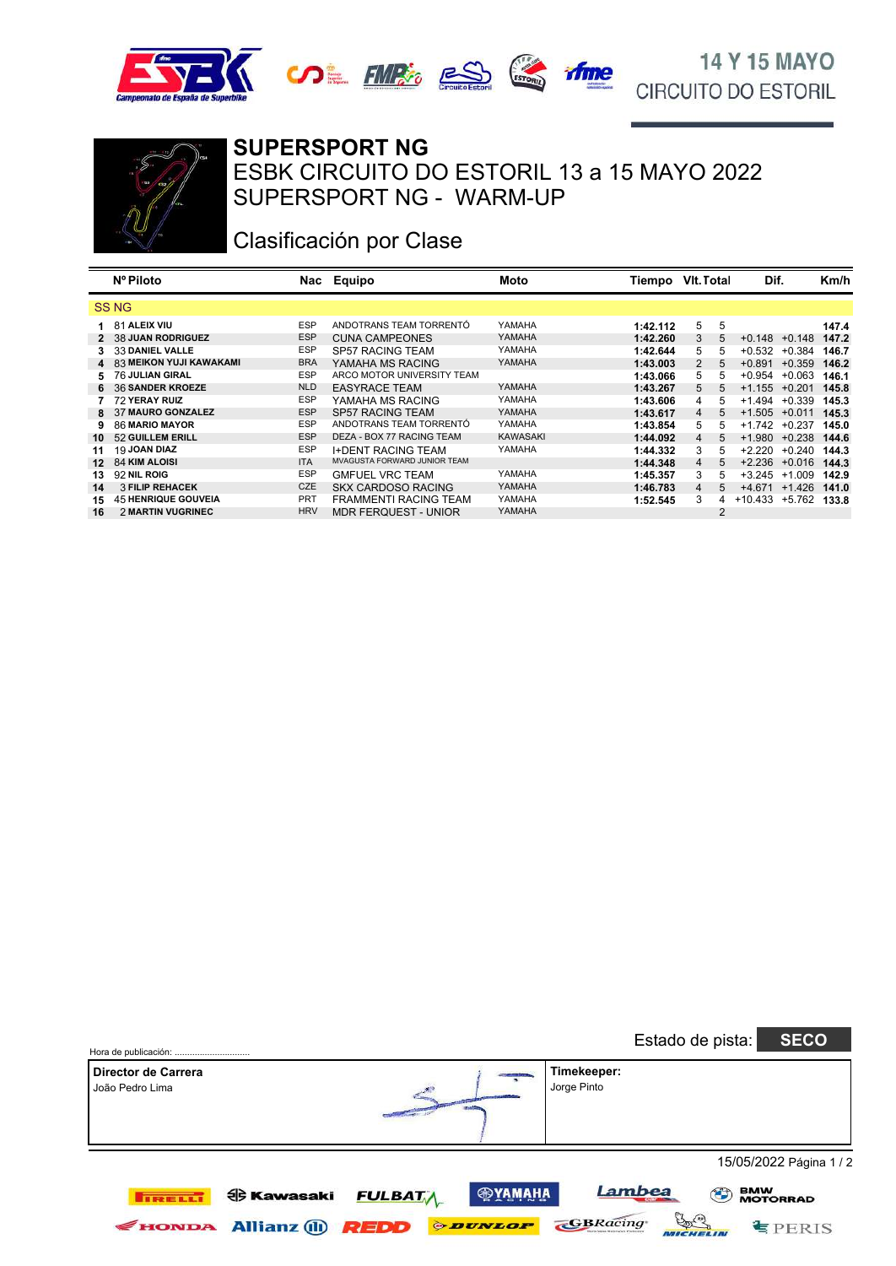





#### **SUPERSPORT NG**

SUPERSPORT NG - WARM-UP ESBK CIRCUITO DO ESTORIL 13 a 15 MAYO 2022

# Clasificación por Clase

|                  | Nº Piloto                  | Nac        | Equipo                       | Moto            | Tiempo   | VIt. Total |                | Dif.             |                   | Km/h  |
|------------------|----------------------------|------------|------------------------------|-----------------|----------|------------|----------------|------------------|-------------------|-------|
|                  | <b>SSNG</b>                |            |                              |                 |          |            |                |                  |                   |       |
| 1.               | 81 ALEIX VIU               | <b>ESP</b> | ANDOTRANS TEAM TORRENTÓ      | YAMAHA          | 1:42.112 | 5          | 5              |                  |                   | 147.4 |
|                  | 2 38 JUAN RODRIGUEZ        | <b>ESP</b> | <b>CUNA CAMPEONES</b>        | YAMAHA          | 1:42.260 | 3          | 5              | $+0.148$         | $+0.148$          | 147.2 |
|                  | <b>33 DANIEL VALLE</b>     | <b>ESP</b> | <b>SP57 RACING TEAM</b>      | YAMAHA          | 1:42.644 | 5          | 5              | $+0.532$         | $+0.384$          | 146.7 |
|                  | 4 83 MEIKON YUJI KAWAKAMI  | <b>BRA</b> | YAMAHA MS RACING             | YAMAHA          | 1:43.003 | 2          | 5              | $+0.891$         | $+0.359$          | 146.2 |
|                  | 5 76 JULIAN GIRAL          | <b>ESP</b> | ARCO MOTOR UNIVERSITY TEAM   |                 | 1:43.066 | 5          | 5              | $+0.954$         | $+0.063$          | 146.1 |
|                  | 6 36 SANDER KROEZE         | <b>NLD</b> | <b>EASYRACE TEAM</b>         | YAMAHA          | 1:43.267 | 5          | 5              | $+1.155 + 0.201$ |                   | 145.8 |
|                  | 72 YERAY RUIZ              | <b>ESP</b> | YAMAHA MS RACING             | YAMAHA          | 1:43.606 | 4          | 5              | $+1.494$         | $+0.339$          | 145.3 |
|                  | 8 37 MAURO GONZALEZ        | <b>ESP</b> | <b>SP57 RACING TEAM</b>      | YAMAHA          | 1:43.617 | 4          | 5              | $+1.505$         | $+0.011$          | 145.3 |
| 9                | 86 MARIO MAYOR             | <b>ESP</b> | ANDOTRANS TEAM TORRENTÓ      | YAMAHA          | 1:43.854 | 5          |                | $+1.742$         | $+0.237$          | 145.0 |
| 10               | 52 GUILLEM ERILL           | <b>ESP</b> | DEZA - BOX 77 RACING TEAM    | <b>KAWASAKI</b> | 1:44.092 | 4          | 5              | $+1.980$         | $+0.238$          | 144.6 |
| 11               | 19 JOAN DIAZ               | ESP        | <b>I+DENT RACING TEAM</b>    | YAMAHA          | 1:44.332 | 3          | 5              | $+2.220$         | $+0.240$          | 144.3 |
| 12 <sup>12</sup> | 84 KIM ALOISI              | <b>ITA</b> | MVAGUSTA FORWARD JUNIOR TEAM |                 | 1:44.348 | 4          | 5              | $+2.236$         | $+0.016$          | 144.3 |
| 13               | 92 NIL ROIG                | ESP        | <b>GMFUEL VRC TEAM</b>       | YAMAHA          | 1:45.357 | 3          | 5              | $+3.245$         | $+1.009$          | 142.9 |
| 14               | <b>3 FILIP REHACEK</b>     | CZE        | <b>SKX CARDOSO RACING</b>    | YAMAHA          | 1:46.783 | 4          | 5              |                  | $+4.671$ $+1.426$ | 141.0 |
| 15               | <b>45 HENRIQUE GOUVEIA</b> | <b>PRT</b> | <b>FRAMMENTI RACING TEAM</b> | YAMAHA          | 1:52.545 | 3          | 4              | $+10.433 +5.762$ |                   | 133.8 |
| 16               | 2 MARTIN VUGRINEC          | <b>HRV</b> | MDR FERQUEST - UNIOR         | YAMAHA          |          |            | $\overline{2}$ |                  |                   |       |

| Hora de publicación:                   |                                              |                               |                                         |                            | Estado de pista:             | <b>SECO</b>                       |
|----------------------------------------|----------------------------------------------|-------------------------------|-----------------------------------------|----------------------------|------------------------------|-----------------------------------|
| Director de Carrera<br>João Pedro Lima |                                              |                               |                                         | Timekeeper:<br>Jorge Pinto |                              |                                   |
|                                        |                                              |                               |                                         |                            |                              | 15/05/2022 Página 1 / 2           |
| <b>TRELL!</b><br><b>FIONDA</b>         | <b><br/> Kawasaki</b><br><b>Allianz</b> (ii) | <b>FULBATA</b><br><b>REDD</b> | <b>@YAMAHA</b><br><b><i>ODUNLOP</i></b> | Lambea<br><b>GBRacing</b>  | $\left( \frac{1}{2} \right)$ | <b>BMW<br/>MOTORRAD</b><br>EPERIS |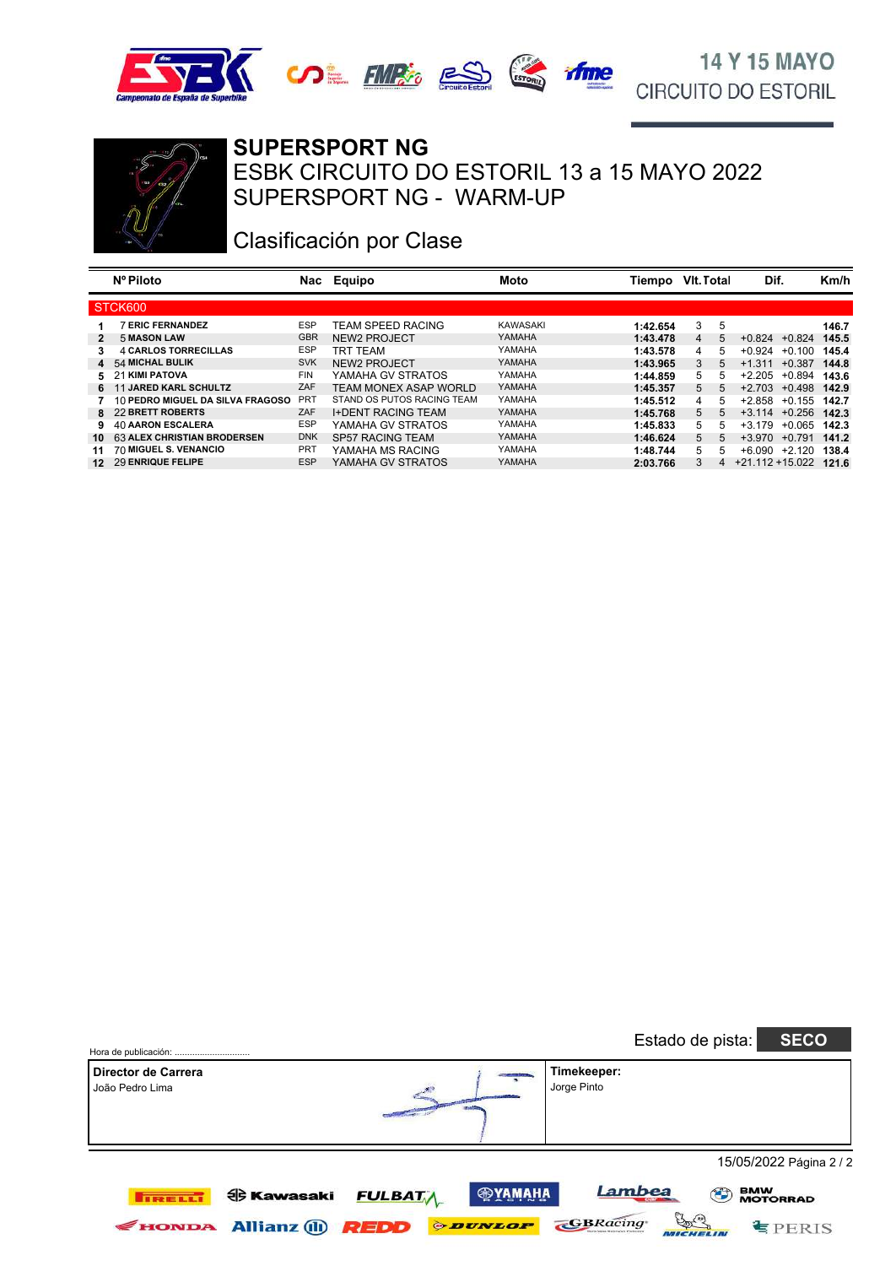





#### **SUPERSPORT NG**

SUPERSPORT NG - WARM-UP ESBK CIRCUITO DO ESTORIL 13 a 15 MAYO 2022

# Clasificación por Clase

|     | Nº Piloto                          | Nac        | Equipo                     | Moto     | Tiempo   | VIt. Total |    | Dif.               |          | Km/h  |
|-----|------------------------------------|------------|----------------------------|----------|----------|------------|----|--------------------|----------|-------|
|     | STCK600                            |            |                            |          |          |            |    |                    |          |       |
|     | <b>ERIC FERNANDEZ</b>              | <b>ESP</b> | <b>TEAM SPEED RACING</b>   | KAWASAKI | 1:42.654 | 3          | 5  |                    |          | 146.7 |
|     | <b>5 MASON LAW</b>                 | <b>GBR</b> | NEW2 PROJECT               | YAMAHA   | 1:43.478 | 4          | 5  | $+0.824$           | $+0.824$ | 145.5 |
|     | <b>4 CARLOS TORRECILLAS</b>        | <b>ESP</b> | <b>TRT TEAM</b>            | YAMAHA   | 1:43.578 | 4          | 5. | $+0.924$           | $+0.100$ | 145.4 |
|     | 4 54 MICHAL BULIK                  | <b>SVK</b> | <b>NEW2 PROJECT</b>        | YAMAHA   | 1:43.965 | 3          | 5. | $+1.311$           | $+0.387$ | 144.8 |
|     | 5 21 KIMI PATOVA                   | <b>FIN</b> | YAMAHA GV STRATOS          | YAMAHA   | 1:44.859 | 5          | 5. | $+2.205$           | $+0.894$ | 143.6 |
|     | 6 11 JARED KARL SCHULTZ            | ZAF        | TEAM MONEX ASAP WORLD      | YAMAHA   | 1:45.357 | 5          | 5. | $+2.703$           | $+0.498$ | 142.9 |
|     | 10 PEDRO MIGUEL DA SILVA FRAGOSO   | <b>PRT</b> | STAND OS PUTOS RACING TEAM | YAMAHA   | 1:45.512 | 4          | 5. | $+2.858$           | $+0.155$ | 142.7 |
|     | 8 22 BRETT ROBERTS                 | ZAF        | <b>I+DENT RACING TEAM</b>  | YAMAHA   | 1:45.768 | 5          | 5  | $+3.114$           | $+0.256$ | 142.3 |
| 9.  | <b>40 AARON ESCALERA</b>           | <b>ESP</b> | YAMAHA GV STRATOS          | YAMAHA   | 1:45.833 | 5          | 5. | $+3.179$           | $+0.065$ | 142.3 |
| 10. | <b>63 ALEX CHRISTIAN BRODERSEN</b> | <b>DNK</b> | <b>SP57 RACING TEAM</b>    | YAMAHA   | 1:46.624 | 5          | 5. | $+3.970$           | $+0.791$ | 141.2 |
| 11  | 70 MIGUEL S. VENANCIO              | <b>PRT</b> | YAMAHA MS RACING           | YAMAHA   | 1:48.744 | 5          | 5. | +6.090             | $+2.120$ | 138.4 |
| 12  | 29 ENRIQUE FELIPE                  | <b>ESP</b> | YAMAHA GV STRATOS          | YAMAHA   | 2:03.766 | 3          | 4  | $+21.112 + 15.022$ |          | 121.6 |

| Hora de publicación:                   |                                                                                                                       | <b>SECO</b><br>Estado de pista:                                   |
|----------------------------------------|-----------------------------------------------------------------------------------------------------------------------|-------------------------------------------------------------------|
| Director de Carrera<br>João Pedro Lima | Timekeeper:<br>Jorge Pinto                                                                                            |                                                                   |
|                                        |                                                                                                                       | 15/05/2022 Página 2 / 2                                           |
| <b>TRELLI</b><br><b>FIONDA</b>         | <b>@YAMAHA</b><br><b>FULBATA</b><br><b>ed Kawasaki</b><br><b><i>ODUNLOP</i></b><br><b>Allianz</b> (ii)<br><b>REDD</b> | Lambea<br><b>BMW<br/>MOTORRAD</b><br>en (c)<br>GBRacing<br>EPERIS |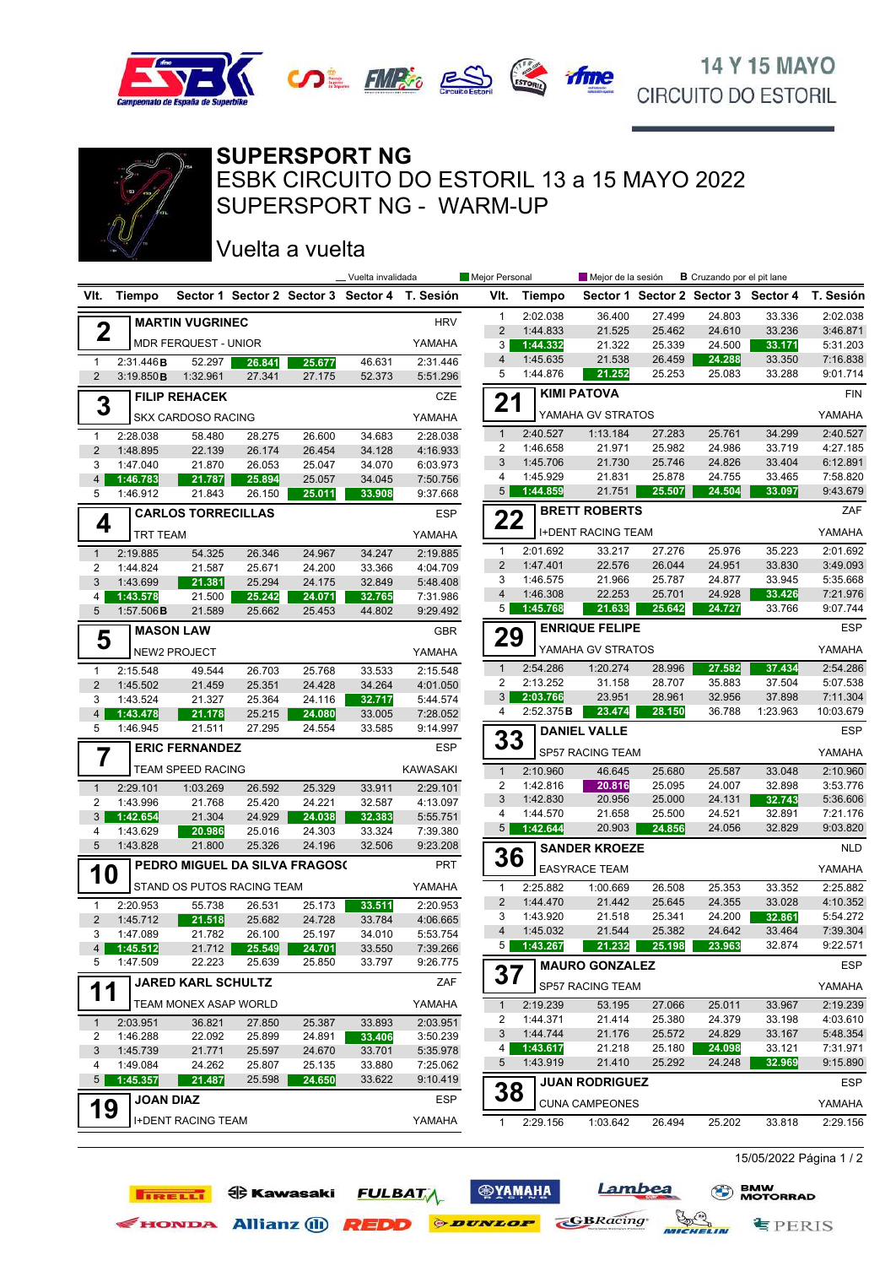



### **SUPERSPORT NG**

SUPERSPORT NG - WARM-UP ESBK CIRCUITO DO ESTORIL 13 a 15 MAYO 2022

Vuelta a vuelta

**TIRELLI OD** Kawasaki

|                                |                                       |                           |                                |                  | _ Vuelta invalidada |                                               | Mejor Personal |                           | <b>B</b> Cruzando por el pit lane<br>Mejor de la sesión |                  |                  |                                     |                      |
|--------------------------------|---------------------------------------|---------------------------|--------------------------------|------------------|---------------------|-----------------------------------------------|----------------|---------------------------|---------------------------------------------------------|------------------|------------------|-------------------------------------|----------------------|
| VIt.                           | Tiempo                                |                           |                                |                  |                     | Sector 1 Sector 2 Sector 3 Sector 4 T. Sesión | VIt.           | Tiempo                    |                                                         |                  |                  | Sector 1 Sector 2 Sector 3 Sector 4 | T. Sesión            |
|                                |                                       | <b>MARTIN VUGRINEC</b>    |                                |                  |                     | <b>HRV</b>                                    | $\mathbf{1}$   | 2:02.038                  | 36.400                                                  | 27.499           | 24.803           | 33.336                              | 2:02.038             |
| $\mathbf 2$                    |                                       |                           |                                |                  |                     |                                               | $\overline{2}$ | 1:44.833                  | 21.525                                                  | 25.462           | 24.610           | 33.236                              | 3:46.871             |
|                                |                                       | MDR FERQUEST - UNIOR      |                                |                  |                     | YAMAHA                                        | 3              | 1:44.332                  | 21.322                                                  | 25.339           | 24.500           | 33.171                              | 5:31.203             |
| $\mathbf{1}$                   | 2:31.446B                             | 52.297                    | 26.841                         | 25.677           | 46.631              | 2:31.446                                      | 4              | 1:45.635                  | 21.538                                                  | 26.459           | 24.288           | 33.350                              | 7:16.838             |
| $\overline{2}$                 | 3:19.850B                             | 1:32.961                  | 27.341                         | 27.175           | 52.373              | 5:51.296                                      | 5              | 1:44.876                  | 21.252                                                  | 25.253           | 25.083           | 33.288                              | 9:01.714             |
| 3                              |                                       | <b>FILIP REHACEK</b>      |                                |                  |                     | CZE                                           | 21             |                           | <b>KIMI PATOVA</b>                                      |                  |                  |                                     | <b>FIN</b>           |
|                                |                                       | <b>SKX CARDOSO RACING</b> |                                |                  |                     | YAMAHA                                        |                |                           | YAMAHA GV STRATOS                                       |                  |                  |                                     | YAMAHA               |
| $\mathbf{1}$                   | 2:28.038                              | 58.480                    | 28.275                         | 26.600           | 34.683              | 2:28.038                                      | $\mathbf{1}$   | 2:40.527                  | 1:13.184                                                | 27.283           | 25.761           | 34.299                              | 2:40.527             |
| $\overline{2}$                 | 1:48.895                              | 22.139                    | 26.174                         | 26.454           | 34.128              | 4:16.933                                      | 2              | 1:46.658                  | 21.971                                                  | 25.982           | 24.986           | 33.719                              | 4:27.185             |
| 3                              | 1:47.040                              | 21.870                    | 26.053                         | 25.047           | 34.070              | 6:03.973                                      | 3              | 1:45.706                  | 21.730                                                  | 25.746           | 24.826           | 33.404                              | 6:12.891             |
| $\overline{4}$                 | 1:46.783                              | 21.787                    | 25.894                         | 25.057           | 34.045              | 7:50.756                                      | 4<br>5         | 1:45.929<br>1:44.859      | 21.831<br>21.751                                        | 25.878<br>25.507 | 24.755<br>24.504 | 33.465<br>33.097                    | 7:58.820<br>9:43.679 |
| 5                              | 1:46.912                              | 21.843                    | 26.150                         | 25.011           | 33.908              | 9:37.668                                      |                |                           |                                                         |                  |                  |                                     |                      |
| 4                              | <b>CARLOS TORRECILLAS</b>             |                           |                                |                  |                     | <b>ESP</b>                                    | 22             |                           | <b>BRETT ROBERTS</b>                                    |                  |                  |                                     | ZAF                  |
|                                | TRT TEAM                              |                           |                                |                  | YAMAHA              |                                               |                | <b>I+DENT RACING TEAM</b> |                                                         |                  |                  | YAMAHA                              |                      |
| $\mathbf{1}$                   | 2:19.885                              | 54.325                    | 26.346                         | 24.967           | 34.247              | 2:19.885                                      | 1              | 2:01.692                  | 33.217                                                  | 27.276           | 25.976           | 35.223                              | 2:01.692             |
| 2                              | 1:44.824                              | 21.587                    | 25.671                         | 24.200           | 33.366              | 4:04.709                                      | $\overline{2}$ | 1:47.401                  | 22.576                                                  | 26.044           | 24.951           | 33.830                              | 3:49.093             |
| 3                              | 1:43.699                              | 21.381                    | 25.294                         | 24.175           | 32.849              | 5:48.408                                      | 3<br>4         | 1:46.575<br>1:46.308      | 21.966<br>22.253                                        | 25.787<br>25.701 | 24.877<br>24.928 | 33.945<br>33.426                    | 5:35.668<br>7:21.976 |
| 4<br>5                         | 1:43.578<br>$1:57.506$ B              | 21.500<br>21.589          | 25.242<br>25.662               | 24.071<br>25.453 | 32.765<br>44.802    | 7:31.986<br>9:29.492                          | 5              | 1:45.768                  | 21.633                                                  | 25.642           | 24.727           | 33.766                              | 9:07.744             |
|                                |                                       |                           |                                |                  |                     | <b>GBR</b>                                    |                |                           | <b>ENRIQUE FELIPE</b>                                   |                  |                  |                                     | <b>ESP</b>           |
|                                | <b>MASON LAW</b><br>5<br>NEW2 PROJECT |                           |                                |                  |                     |                                               | 29             |                           | YAMAHA GV STRATOS                                       |                  | YAMAHA           |                                     |                      |
|                                |                                       |                           |                                |                  |                     | YAMAHA                                        | $\mathbf{1}$   | 2:54.286                  | 1:20.274                                                | 28.996           | 27.582           | 37.434                              | 2:54.286             |
| $\mathbf{1}$<br>$\overline{2}$ | 2:15.548<br>1:45.502                  | 49.544<br>21.459          | 26.703<br>25.351               | 25.768<br>24.428 | 33.533<br>34.264    | 2:15.548<br>4:01.050                          | 2              | 2:13.252                  | 31.158                                                  | 28.707           | 35.883           | 37.504                              | 5:07.538             |
| 3                              | 1:43.524                              | 21.327                    | 25.364                         | 24.116           | 32.717              | 5:44.574                                      | 3              | 2:03.766                  | 23.951                                                  | 28.961           | 32.956           | 37.898                              | 7:11.304             |
| $\overline{4}$                 | 1:43.478                              | 21.178                    | 25.215                         | 24.080           | 33.005              | 7:28.052                                      | 4              | 2:52.375B                 | 23.474                                                  | 28.150           | 36.788           | 1:23.963                            | 10:03.679            |
| 5                              | 1:46.945                              | 21.511                    | 27.295                         | 24.554           | 33.585              | 9:14.997                                      |                |                           | <b>DANIEL VALLE</b>                                     |                  |                  |                                     | <b>ESP</b>           |
| 7                              |                                       | <b>ERIC FERNANDEZ</b>     |                                |                  |                     | <b>ESP</b>                                    | 33             |                           | SP57 RACING TEAM                                        |                  |                  |                                     | YAMAHA               |
|                                |                                       | TEAM SPEED RACING         |                                |                  |                     | <b>KAWASAKI</b>                               | $\mathbf{1}$   | 2:10.960                  | 46.645                                                  | 25.680           | 25.587           | 33.048                              | 2:10.960             |
| $\mathbf{1}$                   | 2:29.101                              | 1:03.269                  | 26.592                         | 25.329           | 33.911              | 2:29.101                                      | 2              | 1:42.816                  | 20.816                                                  | 25.095           | 24.007           | 32.898                              | 3:53.776             |
| 2                              | 1:43.996                              | 21.768                    | 25.420                         | 24.221           | 32.587              | 4:13.097                                      | 3              | 1:42.830                  | 20.956                                                  | 25.000           | 24.131           | 32.743                              | 5:36.606             |
| 3                              | 1:42.654                              | 21.304                    | 24.929                         | 24.038           | 32.383              | 5:55.751                                      | 4              | 1:44.570                  | 21.658                                                  | 25.500           | 24.521           | 32.891                              | 7:21.176             |
| 4                              | 1:43.629                              | 20.986                    | 25.016                         | 24.303           | 33.324              | 7:39.380                                      | 5              | 1:42.644                  | 20.903                                                  | 24.856           | 24.056           | 32.829                              | 9:03.820             |
| 5                              | 1:43.828                              | 21.800                    | 25.326                         | 24.196           | 32.506              | 9:23.208                                      | 36             |                           | <b>SANDER KROEZE</b>                                    |                  |                  |                                     | <b>NLD</b>           |
| <b>10</b>                      |                                       |                           | PEDRO MIGUEL DA SILVA FRAGOS(  |                  |                     | <b>PRT</b>                                    |                |                           | <b>EASYRACE TEAM</b>                                    |                  |                  |                                     | YAMAHA               |
|                                |                                       |                           | STAND OS PUTOS RACING TEAM     |                  |                     | YAMAHA                                        | $\mathbf{1}$   | 2:25.882                  | 1:00.669                                                | 26.508           | 25.353           | 33.352                              | 2:25.882             |
| $\mathbf{1}$                   | 2:20.953                              | 55.738                    | 26.531                         | 25.173           | 33.511              | 2:20.953                                      | $\overline{2}$ | 1:44.470                  | 21.442                                                  | 25.645           | 24.355           | 33.028                              | 4:10.352             |
| 2                              | 1:45.712                              | 21.518                    | 25.682                         | 24.728           | 33.784              | 4:06.665                                      | 3              | 1:43.920                  | 21.518                                                  | 25.341<br>25.382 | 24.200           | 32.861                              | 5:54.272             |
| 3                              | 1:47.089                              | 21.782                    | 26.100                         | 25.197           | 34.010              | 5:53.754                                      | $\overline{4}$ | 1:45.032<br>5 1:43.267    | 21.544<br>21.232                                        | 25.198           | 24.642<br>23.963 | 33.464<br>32.874                    | 7:39.304<br>9:22.571 |
| 5                              | 4 1:45.512<br>1:47.509                | 22.223                    | 21.712 25.549 24.701<br>25.639 | 25.850           | 33.550<br>33.797    | 7:39.266<br>9:26.775                          |                |                           |                                                         |                  |                  |                                     |                      |
|                                |                                       | <b>JARED KARL SCHULTZ</b> |                                |                  |                     | ZAF                                           | 37             |                           | <b>MAURO GONZALEZ</b>                                   |                  |                  |                                     | ESP                  |
| 11                             |                                       |                           |                                |                  |                     |                                               |                |                           | SP57 RACING TEAM                                        |                  |                  |                                     | YAMAHA               |
|                                |                                       | TEAM MONEX ASAP WORLD     |                                |                  |                     | YAMAHA                                        | $\mathbf{1}$   | 2:19.239                  | 53.195                                                  | 27.066           | 25.011           | 33.967                              | 2:19.239             |
| $\mathbf{1}$                   | 2:03.951                              | 36.821                    | 27.850                         | 25.387           | 33.893              | 2:03.951                                      | 2<br>3         | 1:44.371<br>1:44.744      | 21.414<br>21.176                                        | 25.380<br>25.572 | 24.379<br>24.829 | 33.198<br>33.167                    | 4:03.610<br>5:48.354 |
| 2                              | 1:46.288                              | 22.092                    | 25.899                         | 24.891           | 33.406              | 3:50.239                                      | 4              | 1:43.617                  | 21.218                                                  | 25.180           | 24.098           | 33.121                              | 7:31.971             |
| 3<br>4                         | 1:45.739<br>1:49.084                  | 21.771<br>24.262          | 25.597<br>25.807               | 24.670<br>25.135 | 33.701<br>33.880    | 5:35.978<br>7:25.062                          | 5              | 1:43.919                  | 21.410                                                  | 25.292           | 24.248           | 32.969                              | 9:15.890             |
| 5 <sup>5</sup>                 | 1:45.357                              | 21.487                    | 25.598                         | 24.650           | 33.622              | 9:10.419                                      |                |                           | <b>JUAN RODRIGUEZ</b>                                   |                  |                  |                                     | <b>ESP</b>           |
|                                | <b>JOAN DIAZ</b>                      |                           |                                |                  |                     | <b>ESP</b>                                    | 38             |                           | <b>CUNA CAMPEONES</b>                                   |                  |                  |                                     | YAMAHA               |
| 19                             |                                       | <b>I+DENT RACING TEAM</b> |                                |                  |                     | YAMAHA                                        | 1              | 2:29.156                  | 1:03.642                                                | 26.494           | 25.202           | 33.818                              | 2:29.156             |
|                                |                                       |                           |                                |                  |                     |                                               |                |                           |                                                         |                  |                  |                                     |                      |

15/05/2022 Página 1 / 2

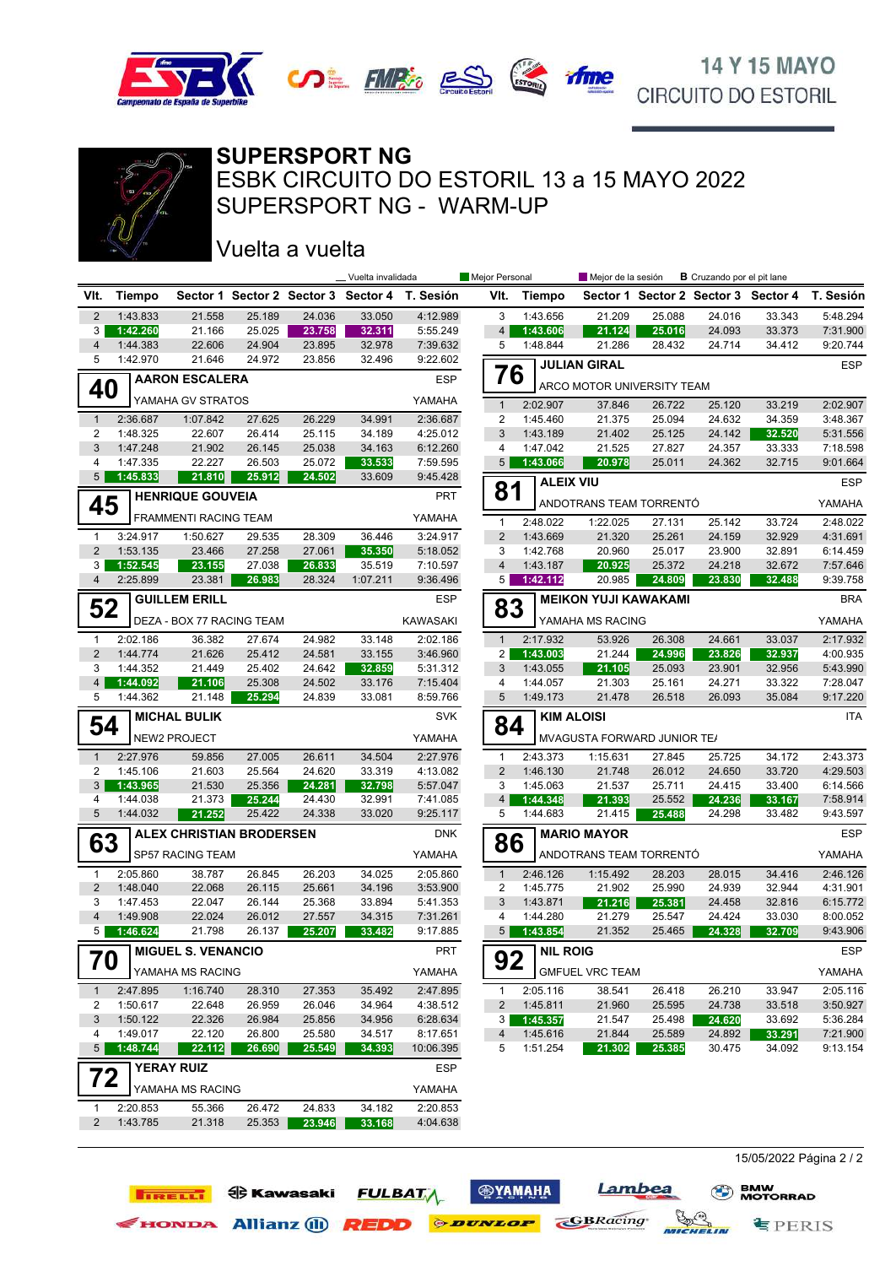



## **SUPERSPORT NG**

SUPERSPORT NG - WARM-UP ESBK CIRCUITO DO ESTORIL 13 a 15 MAYO 2022

## Vuelta a vuelta

**TIRELLI ED** Kawasaki

|                     |                      |                                 |                                     |                  | Vuelta invalidada |                      | Mejor Personal      |                      | Mejor de la sesión          |                  | <b>B</b> Cruzando por el pit lane   |                  |                      |
|---------------------|----------------------|---------------------------------|-------------------------------------|------------------|-------------------|----------------------|---------------------|----------------------|-----------------------------|------------------|-------------------------------------|------------------|----------------------|
| VIt.                | Tiempo               |                                 | Sector 1 Sector 2 Sector 3 Sector 4 |                  |                   | T. Sesión            | VIt.                | <b>Tiempo</b>        |                             |                  | Sector 1 Sector 2 Sector 3 Sector 4 |                  | T. Sesión            |
| $\overline{2}$      | 1:43.833             | 21.558                          | 25.189                              | 24.036           | 33.050            | 4:12.989             | 3                   | 1:43.656             | 21.209                      | 25.088           | 24.016                              | 33.343           | 5:48.294             |
| 3                   | 1:42.260             | 21.166                          | 25.025                              | 23.758           | 32.311            | 5:55.249             | $\overline{4}$      | 1:43.606             | 21.124                      | 25.016           | 24.093                              | 33.373           | 7:31.900             |
| $\overline{4}$      | 1:44.383             | 22.606                          | 24.904                              | 23.895           | 32.978            | 7:39.632             | 5                   | 1:48.844             | 21.286                      | 28.432           | 24.714                              | 34.412           | 9:20.744             |
| 5                   | 1:42.970             | 21.646                          | 24.972                              | 23.856           | 32.496            | 9:22.602             | 76                  |                      | <b>JULIAN GIRAL</b>         |                  |                                     |                  | <b>ESP</b>           |
| 40                  |                      | <b>AARON ESCALERA</b>           |                                     |                  |                   | <b>ESP</b>           |                     |                      | ARCO MOTOR UNIVERSITY TEAM  |                  |                                     |                  |                      |
|                     |                      | YAMAHA GV STRATOS               |                                     |                  |                   | YAMAHA               | $\mathbf{1}$        | 2:02.907             | 37.846                      | 26.722           | 25.120                              | 33.219           | 2:02.907             |
| $\mathbf{1}$        | 2:36.687             | 1:07.842                        | 27.625                              | 26.229           | 34.991            | 2:36.687             | 2                   | 1:45.460             | 21.375                      | 25.094           | 24.632                              | 34.359           | 3:48.367             |
| $\overline{2}$      | 1:48.325             | 22.607                          | 26.414                              | 25.115           | 34.189            | 4:25.012             | 3                   | 1:43.189             | 21.402                      | 25.125           | 24.142                              | 32.520           | 5:31.556             |
| 3<br>$\overline{4}$ | 1:47.248<br>1:47.335 | 21.902<br>22.227                | 26.145<br>26.503                    | 25.038<br>25.072 | 34.163            | 6:12.260<br>7:59.595 | 4<br>5 <sup>5</sup> | 1:47.042             | 21.525                      | 27.827<br>25.011 | 24.357<br>24.362                    | 33.333           | 7:18.598<br>9:01.664 |
| 5 <sup>5</sup>      | 1:45.833             | 21.810                          | 25.912                              | 24.502           | 33.533<br>33.609  | 9:45.428             |                     | 1:43.066             | 20.978                      |                  |                                     | 32.715           |                      |
|                     |                      | <b>HENRIQUE GOUVEIA</b>         |                                     |                  |                   | <b>PRT</b>           | 81                  | <b>ALEIX VIU</b>     |                             |                  |                                     |                  | <b>ESP</b>           |
| 45                  |                      |                                 |                                     |                  |                   |                      |                     |                      | ANDOTRANS TEAM TORRENTÓ     |                  |                                     |                  | YAMAHA               |
|                     |                      | FRAMMENTI RACING TEAM           |                                     |                  |                   | YAMAHA               | $\mathbf{1}$        | 2:48.022             | 1:22.025                    | 27.131           | 25.142                              | 33.724           | 2:48.022             |
| $\mathbf{1}$        | 3:24.917             | 1:50.627                        | 29.535                              | 28.309           | 36.446            | 3:24.917             | $\overline{2}$      | 1:43.669             | 21.320                      | 25.261           | 24.159                              | 32.929           | 4:31.691             |
| $\overline{2}$<br>3 | 1:53.135<br>1:52.545 | 23.466<br>23.155                | 27.258<br>27.038                    | 27.061<br>26.833 | 35.350<br>35.519  | 5:18.052<br>7:10.597 | 3<br>$\overline{4}$ | 1:42.768<br>1:43.187 | 20.960<br>20.925            | 25.017<br>25.372 | 23.900<br>24.218                    | 32.891<br>32.672 | 6:14.459<br>7:57.646 |
| $\overline{4}$      | 2:25.899             | 23.381                          | 26.983                              | 28.324           | 1:07.211          | 9:36.496             | 5                   | 1:42.112             | 20.985                      | 24.809           | 23.830                              | 32.488           | 9:39.758             |
|                     |                      | <b>GUILLEM ERILL</b>            |                                     |                  |                   | <b>ESP</b>           |                     |                      | <b>MEIKON YUJI KAWAKAMI</b> |                  |                                     |                  | <b>BRA</b>           |
| 52                  |                      |                                 |                                     |                  |                   |                      | 83                  |                      |                             |                  |                                     |                  |                      |
|                     |                      | DEZA - BOX 77 RACING TEAM       |                                     |                  |                   | <b>KAWASAKI</b>      |                     |                      | YAMAHA MS RACING            |                  |                                     |                  | YAMAHA               |
| $\mathbf{1}$        | 2:02.186             | 36.382                          | 27.674                              | 24.982           | 33.148            | 2:02.186             | $\mathbf{1}$        | 2:17.932             | 53.926                      | 26.308           | 24.661                              | 33.037           | 2:17.932             |
| $\overline{2}$<br>3 | 1:44.774<br>1:44.352 | 21.626                          | 25.412<br>25.402                    | 24.581           | 33.155<br>32.859  | 3:46.960             | 2<br>3              | 1:43.003<br>1:43.055 | 21.244<br>21.105            | 24.996           | 23.826                              | 32.937           | 4:00.935             |
| 4 <sup>1</sup>      | 1:44.092             | 21.449<br>21.106                | 25.308                              | 24.642<br>24.502 | 33.176            | 5:31.312<br>7:15.404 | 4                   | 1:44.057             | 21.303                      | 25.093<br>25.161 | 23.901<br>24.271                    | 32.956<br>33.322 | 5:43.990<br>7:28.047 |
| 5                   | 1:44.362             | 21.148                          | 25.294                              | 24.839           | 33.081            | 8:59.766             | 5                   | 1:49.173             | 21.478                      | 26.518           | 26.093                              | 35.084           | 9:17.220             |
|                     |                      | <b>MICHAL BULIK</b>             |                                     |                  |                   | <b>SVK</b>           |                     | <b>KIM ALOISI</b>    |                             |                  |                                     |                  | <b>ITA</b>           |
| 54                  |                      | NEW2 PROJECT                    |                                     |                  |                   | YAMAHA               | 84                  |                      | MVAGUSTA FORWARD JUNIOR TE/ |                  |                                     |                  |                      |
| $\mathbf{1}$        | 2:27.976             | 59.856                          | 27.005                              | 26.611           | 34.504            | 2:27.976             | $\mathbf{1}$        | 2:43.373             | 1:15.631                    | 27.845           | 25.725                              | 34.172           | 2:43.373             |
| 2                   | 1:45.106             | 21.603                          | 25.564                              | 24.620           | 33.319            | 4:13.082             | $\overline{2}$      | 1:46.130             | 21.748                      | 26.012           | 24.650                              | 33.720           | 4:29.503             |
| 3 <sup>5</sup>      | 1:43.965             | 21.530                          | 25.356                              | 24.281           | 32.798            | 5:57.047             | 3                   | 1:45.063             | 21.537                      | 25.711           | 24.415                              | 33.400           | 6:14.566             |
| 4                   | 1:44.038             | 21.373                          | 25.244                              | 24.430           | 32.991            | 7:41.085             | $\overline{4}$      | 1:44.348             | 21.393                      | 25.552           | 24.236                              | 33.167           | 7:58.914             |
| 5                   | 1:44.032             | 21.252                          | 25.422                              | 24.338           | 33.020            | 9:25.117             | 5                   | 1:44.683             | 21.415                      | 25.488           | 24.298                              | 33.482           | 9:43.597             |
| 63                  |                      | <b>ALEX CHRISTIAN BRODERSEN</b> |                                     |                  |                   | <b>DNK</b>           | 86                  |                      | <b>MARIO MAYOR</b>          |                  |                                     |                  | <b>ESP</b>           |
|                     |                      | SP57 RACING TEAM                |                                     |                  |                   | YAMAHA               |                     |                      | ANDOTRANS TEAM TORRENTÓ     |                  |                                     |                  | YAMAHA               |
| 1                   | 2:05.860             | 38.787                          | 26.845                              | 26.203           | 34.025            | 2:05.860             | $\mathbf{1}$        | 2:46.126             | 1:15.492                    | 28.203           | 28.015                              | 34.416           | 2:46.126             |
| 2                   | 1:48.040             | 22.068                          | 26.115                              | 25.661           | 34.196            | 3:53.900             | $\overline{2}$      | 1:45.775             | 21.902                      | 25.990           | 24.939                              | 32.944           | 4:31.901             |
| 3                   | 1:47.453             | 22.047                          | 26.144                              | 25.368           | 33.894            | 5:41.353             | 3                   | 1:43.871             | 21.216                      | 25.381           | 24.458                              | 32.816           | 6:15.772             |
| $\overline{4}$      | 1:49.908             | 22.024                          | 26.012                              | 27.557           | 34.315            | 7:31.261             | 4                   | 1:44.280             | 21.279                      | 25.547           | 24.424                              | 33.030           | 8:00.052             |
| 5 <sup>1</sup>      | 1:46.624             | 21.798                          | 26.137                              | 25.207           | 33.482            | 9:17.885             | 5 <sup>1</sup>      | 1:43.854             | 21.352                      | 25.465           | 24.328                              | 32.709           | 9:43.906             |
| 70                  |                      | <b>MIGUEL S. VENANCIO</b>       |                                     |                  |                   | PRT                  | 92                  | <b>NIL ROIG</b>      |                             |                  |                                     |                  | ESP                  |
|                     |                      | YAMAHA MS RACING                |                                     |                  |                   | YAMAHA               |                     |                      | <b>GMFUEL VRC TEAM</b>      |                  |                                     |                  | YAMAHA               |
| $\mathbf{1}$        | 2:47.895             | 1:16.740                        | 28.310                              | 27.353           | 35.492            | 2:47.895             | $\mathbf{1}$        | 2:05.116             | 38.541                      | 26.418           | 26.210                              | 33.947           | 2:05.116             |
| 2<br>3              | 1:50.617<br>1:50.122 | 22.648<br>22.326                | 26.959<br>26.984                    | 26.046<br>25.856 | 34.964<br>34.956  | 4:38.512<br>6:28.634 | 2<br>3              | 1:45.811<br>1:45.357 | 21.960<br>21.547            | 25.595<br>25.498 | 24.738<br>24.620                    | 33.518<br>33.692 | 3:50.927<br>5:36.284 |
| 4                   | 1:49.017             | 22.120                          | 26.800                              | 25.580           | 34.517            | 8:17.651             | 4                   | 1:45.616             | 21.844                      | 25.589           | 24.892                              | 33.291           | 7:21.900             |
| 5 <sup>1</sup>      | 1:48.744             | 22.112                          | 26.690                              | 25.549           | 34.393            | 10:06.395            | 5                   | 1:51.254             | 21.302                      | 25.385           | 30.475                              | 34.092           | 9:13.154             |
|                     |                      | <b>YERAY RUIZ</b>               |                                     |                  |                   | ESP                  |                     |                      |                             |                  |                                     |                  |                      |
| 72                  |                      |                                 |                                     |                  |                   |                      |                     |                      |                             |                  |                                     |                  |                      |
|                     |                      | YAMAHA MS RACING                |                                     |                  |                   | YAMAHA               |                     |                      |                             |                  |                                     |                  |                      |
| 1                   | 2:20.853             | 55.366                          | 26.472                              | 24.833           | 34.182            | 2:20.853             |                     |                      |                             |                  |                                     |                  |                      |
| $\overline{2}$      | 1:43.785             | 21.318                          | 25.353                              | 23.946           | 33.168            | 4:04.638             |                     |                      |                             |                  |                                     |                  |                      |

**<b>ФУАМАНА** 

**FULBATA** 

EHONDA Allianz (1) **REDD** *PEDD* 

Lambea

WICHELIN

**GBRacing** 

15/05/2022 Página 2 / 2

**§PERIS** 

**BMW**<br>MOTORRAD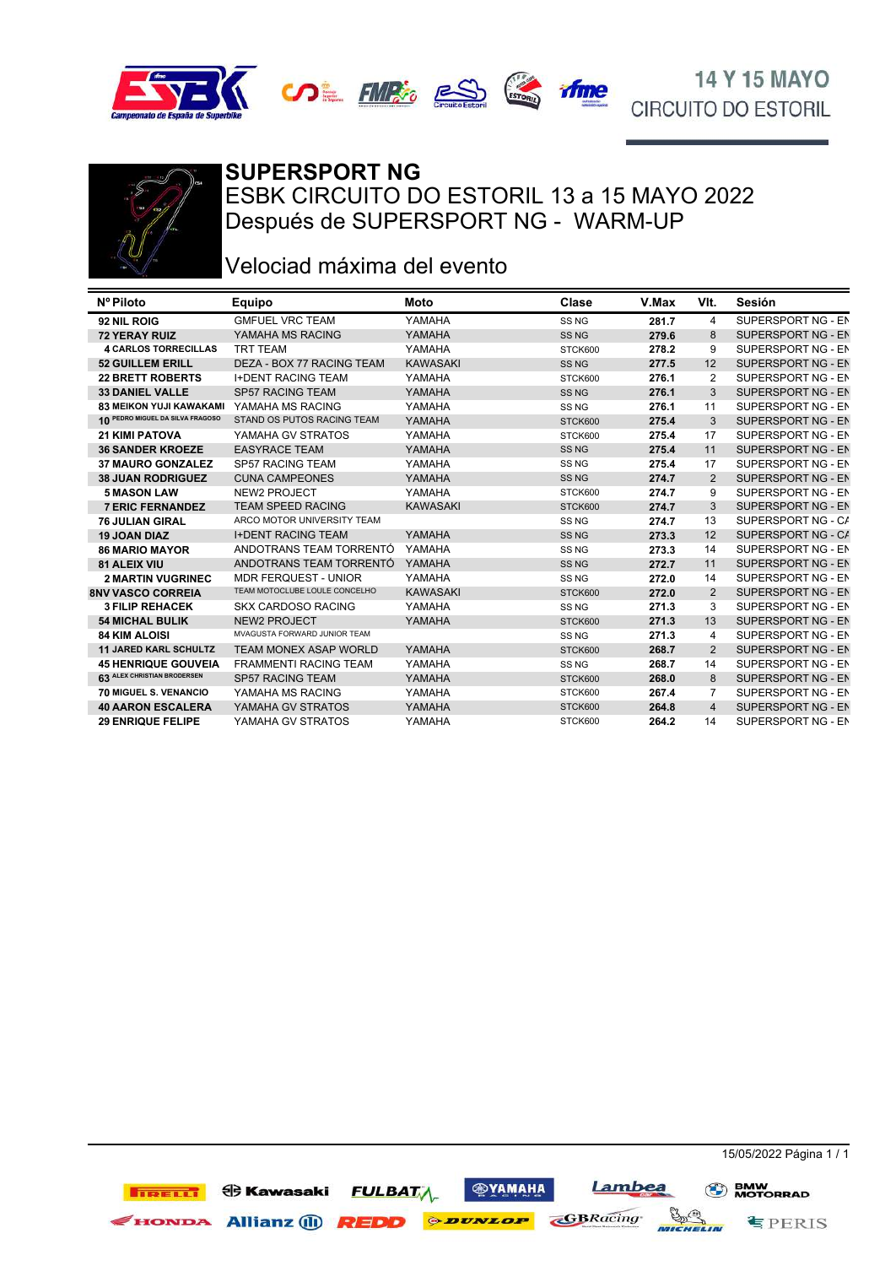







## **SUPERSPORT NG**

ESBK CIRCUITO DO ESTORIL 13 a 15 MAYO 2022 Después de SUPERSPORT NG - WARM-UP

## Velociad máxima del evento

| <b>GMFUEL VRC TEAM</b><br>YAMAHA<br>SUPERSPORT NG - EN<br>4<br>92 NIL ROIG<br>SS <sub>NG</sub><br>281.7                          |  |
|----------------------------------------------------------------------------------------------------------------------------------|--|
|                                                                                                                                  |  |
| YAMAHA<br>SUPERSPORT NG - EN<br><b>72 YERAY RUIZ</b><br>YAMAHA MS RACING<br>SS <sub>NG</sub><br>279.6<br>8                       |  |
| <b>4 CARLOS TORRECILLAS</b><br><b>TRT TEAM</b><br>YAMAHA<br>278.2<br>9<br>SUPERSPORT NG - EN<br>STCK600                          |  |
| DEZA - BOX 77 RACING TEAM<br><b>KAWASAKI</b><br>SUPERSPORT NG - EN<br><b>52 GUILLEM ERILL</b><br>SS <sub>NG</sub><br>277.5<br>12 |  |
| <b>I+DENT RACING TEAM</b><br>YAMAHA<br>276.1<br><b>22 BRETT ROBERTS</b><br>STCK600<br>2<br>SUPERSPORT NG - EN                    |  |
| YAMAHA<br>SUPERSPORT NG - EN<br><b>SP57 RACING TEAM</b><br>3<br><b>33 DANIEL VALLE</b><br>SS <sub>NG</sub><br>276.1              |  |
| YAMAHA<br>YAMAHA MS RACING<br>SUPERSPORT NG - EN<br><b>83 MEIKON YUJI KAWAKAMI</b><br>SS <sub>NG</sub><br>276.1<br>11            |  |
| 10 PEDRO MIGUEL DA SILVA FRAGOSO<br>STAND OS PUTOS RACING TEAM<br>YAMAHA<br>275.4<br>3<br>SUPERSPORT NG - EN<br>STCK600          |  |
| YAMAHA GV STRATOS<br>YAMAHA<br>SUPERSPORT NG - EN<br><b>21 KIMI PATOVA</b><br>275.4<br>17<br>STCK600                             |  |
| <b>EASYRACE TEAM</b><br>SUPERSPORT NG - EN<br>YAMAHA<br>11<br><b>36 SANDER KROEZE</b><br>SS <sub>NG</sub><br>275.4               |  |
| YAMAHA<br><b>37 MAURO GONZALEZ</b><br><b>SP57 RACING TEAM</b><br>SS <sub>NG</sub><br>275.4<br>17<br>SUPERSPORT NG - EN           |  |
| YAMAHA<br>SUPERSPORT NG - EN<br><b>CUNA CAMPEONES</b><br>274.7<br>2<br><b>38 JUAN RODRIGUEZ</b><br>SS <sub>NG</sub>              |  |
| <b>NEW2 PROJECT</b><br>YAMAHA<br>SUPERSPORT NG - EN<br>9<br><b>5 MASON LAW</b><br>STCK600<br>274.7                               |  |
| <b>7 ERIC FERNANDEZ</b><br><b>TEAM SPEED RACING</b><br>274.7<br>3<br>SUPERSPORT NG - EN<br><b>KAWASAKI</b><br>STCK600            |  |
| ARCO MOTOR UNIVERSITY TEAM<br>SUPERSPORT NG - CA<br>274.7<br>13<br><b>76 JULIAN GIRAL</b><br>SS <sub>NG</sub>                    |  |
| <b>I+DENT RACING TEAM</b><br>YAMAHA<br>12<br>SUPERSPORT NG - CA<br>SS <sub>NG</sub><br><b>19 JOAN DIAZ</b><br>273.3              |  |
| YAMAHA<br><b>86 MARIO MAYOR</b><br>ANDOTRANS TEAM TORRENTÓ<br>SS <sub>NG</sub><br>273.3<br>SUPERSPORT NG - EN<br>14              |  |
| ANDOTRANS TEAM TORRENTÓ<br>YAMAHA<br>11<br>SUPERSPORT NG - EN<br><b>81 ALEIX VIU</b><br>SS <sub>NG</sub><br>272.7                |  |
| <b>MDR FERQUEST - UNIOR</b><br>YAMAHA<br>SUPERSPORT NG - EN<br><b>2 MARTIN VUGRINEC</b><br>14<br>SS <sub>NG</sub><br>272.0       |  |
| TEAM MOTOCLUBE LOULE CONCELHO<br>SUPERSPORT NG - EN<br><b>8NV VASCO CORREIA</b><br><b>KAWASAKI</b><br>272.0<br>2<br>STCK600      |  |
| YAMAHA<br>3<br>SUPERSPORT NG - EN<br><b>SKX CARDOSO RACING</b><br><b>3 FILIP REHACEK</b><br>SS <sub>NG</sub><br>271.3            |  |
| <b>NEW2 PROJECT</b><br>YAMAHA<br>SUPERSPORT NG - EN<br>271.3<br>13<br><b>54 MICHAL BULIK</b><br>STCK600                          |  |
| MVAGUSTA FORWARD JUNIOR TEAM<br>SS <sub>NG</sub><br>271.3<br>SUPERSPORT NG - EN<br><b>84 KIM ALOISI</b><br>4                     |  |
| 11 JARED KARL SCHULTZ<br>YAMAHA<br>$\overline{2}$<br>SUPERSPORT NG - EN<br><b>TEAM MONEX ASAP WORLD</b><br>268.7<br>STCK600      |  |
| <b>FRAMMENTI RACING TEAM</b><br>YAMAHA<br>SUPERSPORT NG - EN<br><b>45 HENRIQUE GOUVEIA</b><br>SS <sub>NG</sub><br>268.7<br>14    |  |
| 63 ALEX CHRISTIAN BRODERSEN<br>YAMAHA<br>SUPERSPORT NG - EN<br><b>SP57 RACING TEAM</b><br>268.0<br>8<br>STCK600                  |  |
| 70 MIGUEL S. VENANCIO<br>YAMAHA MS RACING<br>YAMAHA<br>7<br>SUPERSPORT NG - EN<br>267.4<br>STCK600                               |  |
| YAMAHA GV STRATOS<br>YAMAHA<br>SUPERSPORT NG - EN<br><b>40 AARON ESCALERA</b><br>$\overline{4}$<br>STCK600<br>264.8              |  |
| YAMAHA<br>264.2<br>SUPERSPORT NG - EN<br><b>29 ENRIQUE FELIPE</b><br>YAMAHA GV STRATOS<br>STCK600<br>14                          |  |

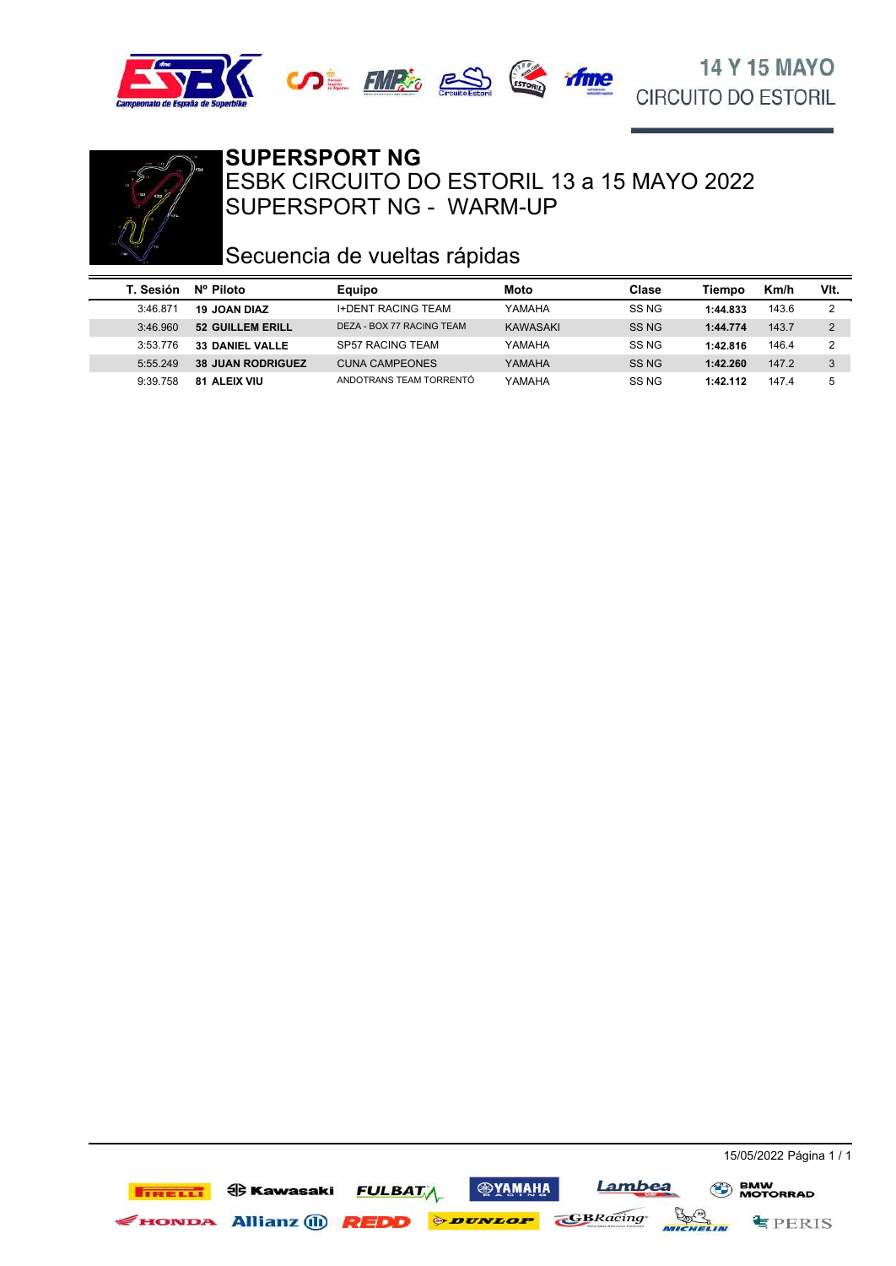





SUPERSPORT NG - WARM-UP ESBK CIRCUITO DO ESTORIL 13 a 15 MAYO 2022 **SUPERSPORT NG**

# Secuencia de vueltas rápidas

| T. Sesión | Nº Piloto                | <b>Equipo</b>             | Moto     | Clase | Tiempo   | Km/h  | VIt.           |
|-----------|--------------------------|---------------------------|----------|-------|----------|-------|----------------|
| 3:46.871  | <b>19 JOAN DIAZ</b>      | <b>I+DENT RACING TEAM</b> | YAMAHA   | SS NG | 1:44.833 | 143.6 | C              |
| 3:46.960  | 52 GUILLEM ERILL         | DEZA - BOX 77 RACING TEAM | KAWASAKI | SS NG | 1:44.774 | 143.7 | 2              |
| 3.53776   | <b>33 DANIEL VALLE</b>   | SP57 RACING TEAM          | YAMAHA   | SS NG | 1:42.816 | 146.4 | $\overline{2}$ |
| 5:55.249  | <b>38 JUAN RODRIGUEZ</b> | <b>CUNA CAMPEONES</b>     | YAMAHA   | SS NG | 1:42.260 | 147.2 | 3              |
| 9:39.758  | <b>81 ALEIX VIU</b>      | ANDOTRANS TEAM TORRENTÓ   | YAMAHA   | SS NG | 1:42.112 | 147.4 | 5              |

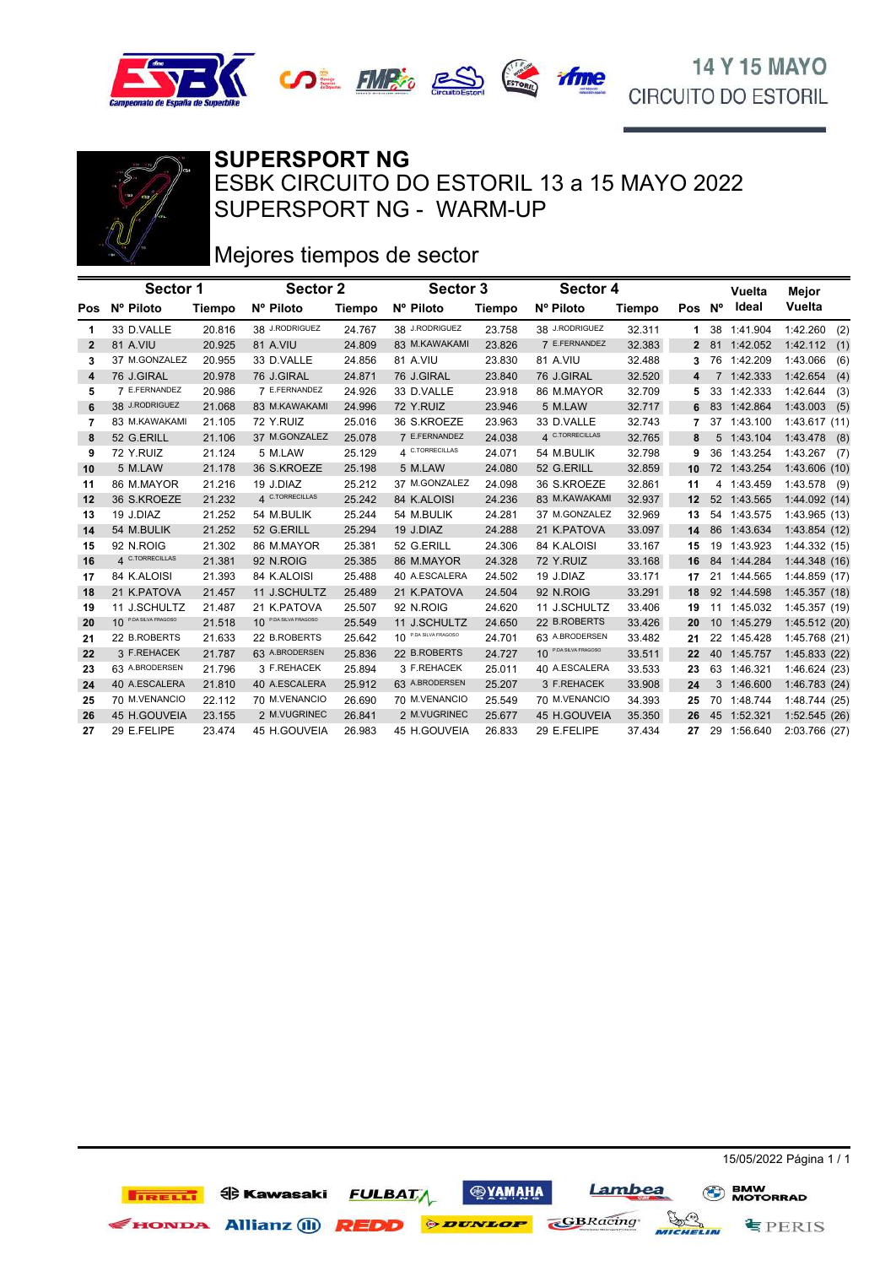



SUPERSPORT NG - WARM-UP ESBK CIRCUITO DO ESTORIL 13 a 15 MAYO 2022 **SUPERSPORT NG**

# Mejores tiempos de sector

|              | Sector 1              |               | Sector 2                              |               |                                  | Sector 3 |                       | Sector 4 |                   |             | Vuelta      | Mejor           |
|--------------|-----------------------|---------------|---------------------------------------|---------------|----------------------------------|----------|-----------------------|----------|-------------------|-------------|-------------|-----------------|
| Pos          | Nº Piloto             | <b>Tiempo</b> | Nº Piloto                             | <b>Tiempo</b> | Nº Piloto                        | Tiempo   | Nº Piloto             | Tiempo   | Pos Nº            |             | Ideal       | Vuelta          |
| 1            | 33 D.VALLE            | 20.816        | 38 J.RODRIGUEZ                        | 24.767        | 38 J.RODRIGUEZ                   | 23.758   | 38 J.RODRIGUEZ        | 32.311   | 1.                | 38          | 1:41.904    | 1:42.260<br>(2) |
| $\mathbf{2}$ | 81 A.VIU              | 20.925        | 81 A.VIU                              | 24.809        | 83 M.KAWAKAMI                    | 23.826   | 7 E.FERNANDEZ         | 32.383   | 2                 |             | 81 1:42.052 | 1:42.112(1)     |
| 3            | 37 M.GONZALEZ         | 20.955        | 33 D.VALLE                            | 24.856        | 81 A.VIU                         | 23.830   | 81 A.VIU              | 32.488   | 3                 |             | 76 1:42.209 | 1:43.066<br>(6) |
| 4            | 76 J.GIRAL            | 20.978        | 76 J.GIRAL                            | 24.871        | 76 J.GIRAL                       | 23.840   | 76 J.GIRAL            | 32.520   | 4                 | $7^{\circ}$ | 1:42.333    | 1:42.654<br>(4) |
| 5            | 7 E.FERNANDEZ         | 20.986        | 7 E.FERNANDEZ                         | 24.926        | 33 D.VALLE                       | 23.918   | 86 M.MAYOR            | 32.709   |                   |             | 33 1:42.333 | 1:42.644<br>(3) |
| 6            | 38 J.RODRIGUEZ        | 21.068        | 83 M.KAWAKAMI                         | 24.996        | 72 Y.RUIZ                        | 23.946   | 5 M.LAW               | 32.717   | 6                 |             | 83 1:42.864 | $1:43.003$ (5)  |
| 7            | 83 M.KAWAKAMI         | 21.105        | 72 Y.RUIZ                             | 25.016        | 36 S.KROEZE                      | 23.963   | 33 D.VALLE            | 32.743   |                   |             | 37 1:43.100 | 1:43.617(11)    |
| 8            | 52 G.ERILL            | 21.106        | 37 M.GONZALEZ                         | 25.078        | 7 E.FERNANDEZ                    | 24.038   | 4 C.TORRECILLAS       | 32.765   | 8                 |             | 5 1:43.104  | $1:43.478$ (8)  |
| 9            | 72 Y.RUIZ             | 21.124        | 5 M.LAW                               | 25.129        | 4 C.TORRECILLAS                  | 24.071   | 54 M.BULIK            | 32.798   | 9                 |             | 36 1:43.254 | $1:43.267$ (7)  |
| 10           | 5 M.LAW               | 21.178        | 36 S.KROEZE                           | 25.198        | 5 M.LAW                          | 24.080   | 52 G.ERILL            | 32.859   | 10                |             | 72 1:43.254 | 1:43.606 (10)   |
| 11           | 86 M.MAYOR            | 21.216        | 19 J.DIAZ                             | 25.212        | 37 M.GONZALEZ                    | 24.098   | 36 S.KROEZE           | 32.861   | 11                |             | 4 1:43.459  | $1:43.578$ (9)  |
| 12           | 36 S.KROEZE           | 21.232        | 4 C.TORRECILLAS                       | 25.242        | 84 K.ALOISI                      | 24.236   | 83 M.KAWAKAMI         | 32.937   | 12                |             | 52 1:43.565 | 1:44.092(14)    |
| 13           | 19 J.DIAZ             | 21.252        | 54 M.BULIK                            | 25.244        | 54 M.BULIK                       | 24.281   | 37 M.GONZALEZ         | 32.969   | 13                |             | 54 1:43.575 | 1:43.965 (13)   |
| 14           | 54 M.BULIK            | 21.252        | 52 G.ERILL                            | 25.294        | 19 J.DIAZ                        | 24.288   | 21 K.PATOVA           | 33.097   | 14                |             | 86 1:43.634 | 1:43.854 (12)   |
| 15           | 92 N.ROIG             | 21.302        | 86 M.MAYOR                            | 25.381        | 52 G.ERILL                       | 24.306   | 84 K.ALOISI           | 33.167   | 15                |             | 19 1:43.923 | 1:44.332 (15)   |
| 16           | 4 C.TORRECILLAS       | 21.381        | 92 N.ROIG                             | 25.385        | 86 M.MAYOR                       | 24.328   | 72 Y.RUIZ             | 33.168   | 16                |             | 84 1:44.284 | 1:44.348(16)    |
| 17           | 84 K.ALOISI           | 21.393        | 84 K.ALOISI                           | 25.488        | 40 A.ESCALERA                    | 24.502   | 19 J.DIAZ             | 33.171   | 17                | 21          | 1:44.565    | 1:44.859(17)    |
| 18           | 21 K.PATOVA           | 21.457        | 11 J.SCHULTZ                          | 25.489        | 21 K.PATOVA                      | 24.504   | 92 N.ROIG             | 33.291   | 18                |             | 92 1:44.598 | 1:45.357 (18)   |
| 19           | 11 J.SCHULTZ          | 21.487        | 21 K.PATOVA                           | 25.507        | 92 N.ROIG                        | 24.620   | 11 J.SCHULTZ          | 33.406   | 19                | 11          | 1:45.032    | 1:45.357 (19)   |
| 20           | 10 P.DA SILVA FRAGOSO | 21.518        | P.DA SILVA FRAGOSO<br>10 <sup>1</sup> | 25.549        | 11 J.SCHULTZ                     | 24.650   | 22 B.ROBERTS          | 33.426   | 20                |             | 10 1:45.279 | 1:45.512 (20)   |
| 21           | 22 B.ROBERTS          | 21.633        | 22 B.ROBERTS                          | 25.642        | 10 <sup>P.DA SILVA FRAGOSO</sup> | 24.701   | 63 A.BRODERSEN        | 33.482   | 21                | 22          | 1:45.428    | 1:45.768 (21)   |
| 22           | 3 F.REHACEK           | 21.787        | 63 A.BRODERSEN                        | 25.836        | 22 B.ROBERTS                     | 24.727   | 10 P.DA SILVA FRAGOSO | 33.511   | $22 \overline{ }$ |             | 40 1:45.757 | 1:45.833 (22)   |
| 23           | 63 A.BRODERSEN        | 21.796        | 3 F.REHACEK                           | 25.894        | 3 F.REHACEK                      | 25.011   | 40 A.ESCALERA         | 33.533   | 23                | 63          | 1:46.321    | 1:46.624 (23)   |
| 24           | 40 A.ESCALERA         | 21.810        | 40 A.ESCALERA                         | 25.912        | 63 A.BRODERSEN                   | 25.207   | 3 F.REHACEK           | 33.908   | 24                |             | 3 1:46.600  | 1:46.783 (24)   |
| 25           | 70 M.VENANCIO         | 22.112        | 70 M.VENANCIO                         | 26.690        | 70 M.VENANCIO                    | 25.549   | 70 M.VENANCIO         | 34.393   | 25                | 70          | 1:48.744    | 1:48.744 (25)   |
| 26           | 45 H.GOUVEIA          | 23.155        | 2 M.VUGRINEC                          | 26.841        | 2 M.VUGRINEC                     | 25.677   | 45 H.GOUVEIA          | 35.350   | 26                |             | 45 1:52.321 | 1:52.545 (26)   |
| 27           | 29 E.FELIPE           | 23.474        | 45 H.GOUVEIA                          | 26.983        | 45 H.GOUVEIA                     | 26.833   | 29 E.FELIPE           | 37.434   | 27                |             | 29 1:56.640 | 2:03.766 (27)   |